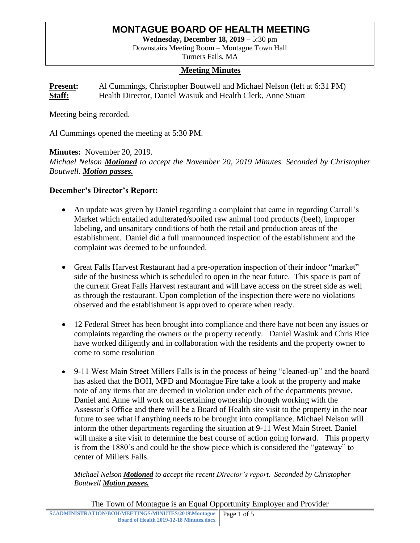# **MONTAGUE BOARD OF HEALTH MEETING**

**Wednesday, December 18, 2019** – 5:30 pm

Downstairs Meeting Room – Montague Town Hall Turners Falls, MA

#### **Meeting Minutes**

**Present:** Al Cummings, Christopher Boutwell and Michael Nelson (left at 6:31 PM) **Staff:** Health Director, Daniel Wasiuk and Health Clerk, Anne Stuart

Meeting being recorded.

Al Cummings opened the meeting at 5:30 PM.

**Minutes:** November 20, 2019. *Michael Nelson Motioned to accept the November 20, 2019 Minutes. Seconded by Christopher Boutwell. Motion passes.* 

#### **December's Director's Report:**

- An update was given by Daniel regarding a complaint that came in regarding Carroll's Market which entailed adulterated/spoiled raw animal food products (beef), improper labeling, and unsanitary conditions of both the retail and production areas of the establishment. Daniel did a full unannounced inspection of the establishment and the complaint was deemed to be unfounded.
- Great Falls Harvest Restaurant had a pre-operation inspection of their indoor "market" side of the business which is scheduled to open in the near future. This space is part of the current Great Falls Harvest restaurant and will have access on the street side as well as through the restaurant. Upon completion of the inspection there were no violations observed and the establishment is approved to operate when ready.
- 12 Federal Street has been brought into compliance and there have not been any issues or complaints regarding the owners or the property recently. Daniel Wasiuk and Chris Rice have worked diligently and in collaboration with the residents and the property owner to come to some resolution
- 9-11 West Main Street Millers Falls is in the process of being "cleaned-up" and the board has asked that the BOH, MPD and Montague Fire take a look at the property and make note of any items that are deemed in violation under each of the departments prevue. Daniel and Anne will work on ascertaining ownership through working with the Assessor's Office and there will be a Board of Health site visit to the property in the near future to see what if anything needs to be brought into compliance. Michael Nelson will inform the other departments regarding the situation at 9-11 West Main Street. Daniel will make a site visit to determine the best course of action going forward. This property is from the 1880's and could be the show piece which is considered the "gateway" to center of Millers Falls.

*Michael Nelson Motioned to accept the recent Director's report. Seconded by Christopher Boutwell Motion passes.*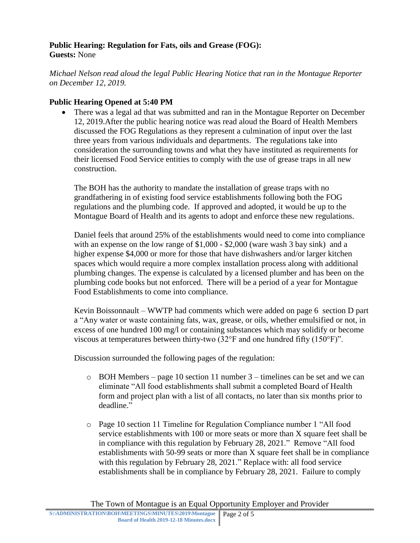# **Public Hearing: Regulation for Fats, oils and Grease (FOG): Guests:** None

*Michael Nelson read aloud the legal Public Hearing Notice that ran in the Montague Reporter on December 12, 2019.*

# **Public Hearing Opened at 5:40 PM**

 There was a legal ad that was submitted and ran in the Montague Reporter on December 12, 2019.After the public hearing notice was read aloud the Board of Health Members discussed the FOG Regulations as they represent a culmination of input over the last three years from various individuals and departments. The regulations take into consideration the surrounding towns and what they have instituted as requirements for their licensed Food Service entities to comply with the use of grease traps in all new construction.

The BOH has the authority to mandate the installation of grease traps with no grandfathering in of existing food service establishments following both the FOG regulations and the plumbing code. If approved and adopted, it would be up to the Montague Board of Health and its agents to adopt and enforce these new regulations.

Daniel feels that around 25% of the establishments would need to come into compliance with an expense on the low range of \$1,000 - \$2,000 (ware wash 3 bay sink) and a higher expense \$4,000 or more for those that have dishwashers and/or larger kitchen spaces which would require a more complex installation process along with additional plumbing changes. The expense is calculated by a licensed plumber and has been on the plumbing code books but not enforced. There will be a period of a year for Montague Food Establishments to come into compliance.

Kevin Boissonnault – WWTP had comments which were added on page 6 section D part a "Any water or waste containing fats, wax, grease, or oils, whether emulsified or not, in excess of one hundred 100 mg/l or containing substances which may solidify or become viscous at temperatures between thirty-two (32°F and one hundred fifty (150°F)".

Discussion surrounded the following pages of the regulation:

- o BOH Members page 10 section 11 number 3 timelines can be set and we can eliminate "All food establishments shall submit a completed Board of Health form and project plan with a list of all contacts, no later than six months prior to deadline."
- o Page 10 section 11 Timeline for Regulation Compliance number 1 "All food service establishments with 100 or more seats or more than X square feet shall be in compliance with this regulation by February 28, 2021." Remove "All food establishments with 50-99 seats or more than X square feet shall be in compliance with this regulation by February 28, 2021." Replace with: all food service establishments shall be in compliance by February 28, 2021. Failure to comply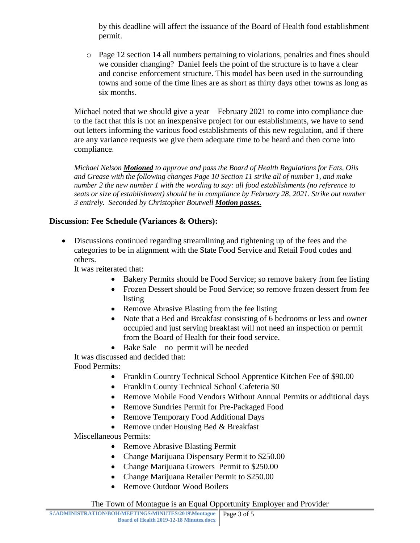by this deadline will affect the issuance of the Board of Health food establishment permit.

 $\circ$  Page 12 section 14 all numbers pertaining to violations, penalties and fines should we consider changing? Daniel feels the point of the structure is to have a clear and concise enforcement structure. This model has been used in the surrounding towns and some of the time lines are as short as thirty days other towns as long as six months.

Michael noted that we should give a year – February 2021 to come into compliance due to the fact that this is not an inexpensive project for our establishments, we have to send out letters informing the various food establishments of this new regulation, and if there are any variance requests we give them adequate time to be heard and then come into compliance.

*Michael Nelson Motioned to approve and pass the Board of Health Regulations for Fats, Oils and Grease with the following changes Page 10 Section 11 strike all of number 1, and make number 2 the new number 1 with the wording to say: all food establishments (no reference to seats or size of establishment) should be in compliance by February 28, 2021. Strike out number 3 entirely. Seconded by Christopher Boutwell Motion passes.*

# **Discussion: Fee Schedule (Variances & Others):**

 Discussions continued regarding streamlining and tightening up of the fees and the categories to be in alignment with the State Food Service and Retail Food codes and others.

It was reiterated that:

- Bakery Permits should be Food Service; so remove bakery from fee listing
- Frozen Dessert should be Food Service; so remove frozen dessert from fee listing
- Remove Abrasive Blasting from the fee listing
- Note that a Bed and Breakfast consisting of 6 bedrooms or less and owner occupied and just serving breakfast will not need an inspection or permit from the Board of Health for their food service.
- $\bullet$  Bake Sale no permit will be needed

It was discussed and decided that:

Food Permits:

- Franklin Country Technical School Apprentice Kitchen Fee of \$90.00
- Franklin County Technical School Cafeteria \$0
- Remove Mobile Food Vendors Without Annual Permits or additional days
- Remove Sundries Permit for Pre-Packaged Food
- Remove Temporary Food Additional Days
- Remove under Housing Bed & Breakfast

Miscellaneous Permits:

- Remove Abrasive Blasting Permit
- Change Marijuana Dispensary Permit to \$250.00
- Change Marijuana Growers Permit to \$250.00
- Change Marijuana Retailer Permit to \$250.00
- Remove Outdoor Wood Boilers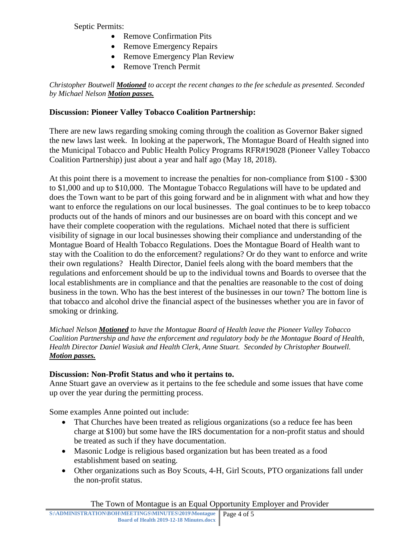Septic Permits:

- Remove Confirmation Pits
- Remove Emergency Repairs
- Remove Emergency Plan Review
- Remove Trench Permit

*Christopher Boutwell Motioned to accept the recent changes to the fee schedule as presented. Seconded by Michael Nelson Motion passes.*

# **Discussion: Pioneer Valley Tobacco Coalition Partnership:**

There are new laws regarding smoking coming through the coalition as Governor Baker signed the new laws last week. In looking at the paperwork, The Montague Board of Health signed into the Municipal Tobacco and Public Health Policy Programs RFR#19028 (Pioneer Valley Tobacco Coalition Partnership) just about a year and half ago (May 18, 2018).

At this point there is a movement to increase the penalties for non-compliance from \$100 - \$300 to \$1,000 and up to \$10,000. The Montague Tobacco Regulations will have to be updated and does the Town want to be part of this going forward and be in alignment with what and how they want to enforce the regulations on our local businesses. The goal continues to be to keep tobacco products out of the hands of minors and our businesses are on board with this concept and we have their complete cooperation with the regulations. Michael noted that there is sufficient visibility of signage in our local businesses showing their compliance and understanding of the Montague Board of Health Tobacco Regulations. Does the Montague Board of Health want to stay with the Coalition to do the enforcement? regulations? Or do they want to enforce and write their own regulations? Health Director, Daniel feels along with the board members that the regulations and enforcement should be up to the individual towns and Boards to oversee that the local establishments are in compliance and that the penalties are reasonable to the cost of doing business in the town. Who has the best interest of the businesses in our town? The bottom line is that tobacco and alcohol drive the financial aspect of the businesses whether you are in favor of smoking or drinking.

*Michael Nelson Motioned to have the Montague Board of Health leave the Pioneer Valley Tobacco Coalition Partnership and have the enforcement and regulatory body be the Montague Board of Health, Health Director Daniel Wasiuk and Health Clerk, Anne Stuart. Seconded by Christopher Boutwell. Motion passes.*

## **Discussion: Non-Profit Status and who it pertains to.**

Anne Stuart gave an overview as it pertains to the fee schedule and some issues that have come up over the year during the permitting process.

Some examples Anne pointed out include:

- That Churches have been treated as religious organizations (so a reduce fee has been charge at \$100) but some have the IRS documentation for a non-profit status and should be treated as such if they have documentation.
- Masonic Lodge is religious based organization but has been treated as a food establishment based on seating.
- Other organizations such as Boy Scouts, 4-H, Girl Scouts, PTO organizations fall under the non-profit status.